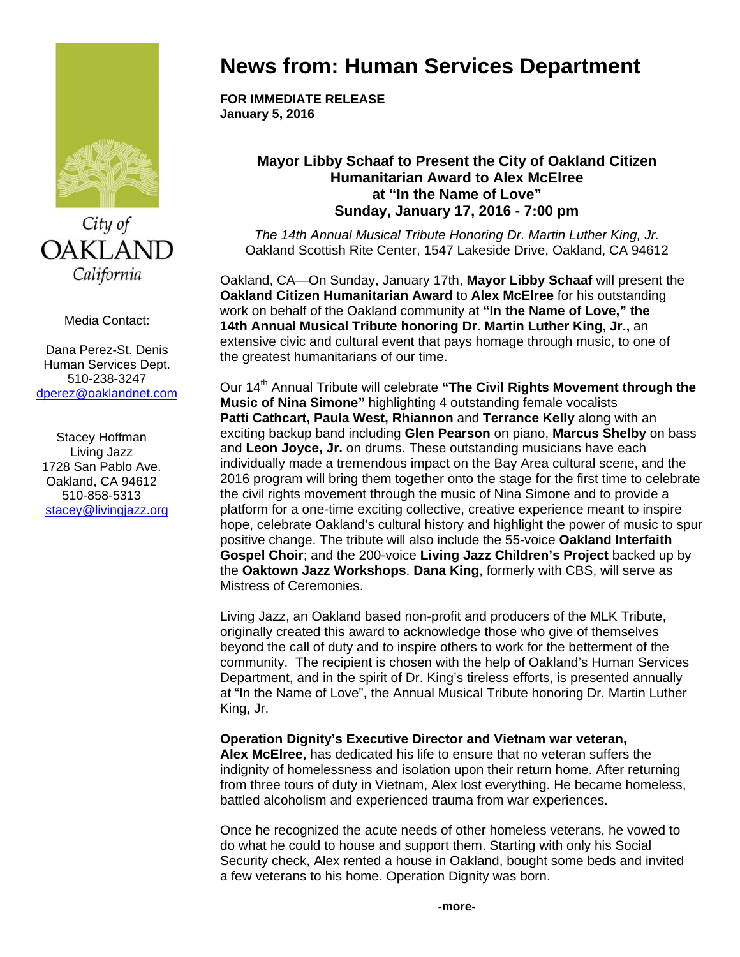

City of **OAKLAND** California

Media Contact:

Dana Perez-St. Denis Human Services Dept. 510-238-3247 dperez@oaklandnet.com

Stacey Hoffman Living Jazz 1728 San Pablo Ave. Oakland, CA 94612 510-858-5313 stacey@livingjazz.org

## **News from: Human Services Department**

**FOR IMMEDIATE RELEASE January 5, 2016** 

## **Mayor Libby Schaaf to Present the City of Oakland Citizen Humanitarian Award to Alex McElree at "In the Name of Love" Sunday, January 17, 2016 - 7:00 pm**

*The 14th Annual Musical Tribute Honoring Dr. Martin Luther King, Jr.* Oakland Scottish Rite Center, 1547 Lakeside Drive, Oakland, CA 94612

Oakland, CA—On Sunday, January 17th, **Mayor Libby Schaaf** will present the **Oakland Citizen Humanitarian Award** to **Alex McElree** for his outstanding work on behalf of the Oakland community at **"In the Name of Love," the 14th Annual Musical Tribute honoring Dr. Martin Luther King, Jr.,** an extensive civic and cultural event that pays homage through music, to one of the greatest humanitarians of our time.

Our 14<sup>th</sup> Annual Tribute will celebrate "The Civil Rights Movement through the **Music of Nina Simone"** highlighting 4 outstanding female vocalists **Patti Cathcart, Paula West, Rhiannon** and **Terrance Kelly** along with an exciting backup band including **Glen Pearson** on piano, **Marcus Shelby** on bass and **Leon Joyce, Jr.** on drums. These outstanding musicians have each individually made a tremendous impact on the Bay Area cultural scene, and the 2016 program will bring them together onto the stage for the first time to celebrate the civil rights movement through the music of Nina Simone and to provide a platform for a one-time exciting collective, creative experience meant to inspire hope, celebrate Oakland's cultural history and highlight the power of music to spur positive change. The tribute will also include the 55-voice **Oakland Interfaith Gospel Choir**; and the 200-voice **Living Jazz Children's Project** backed up by the **Oaktown Jazz Workshops**. **Dana King**, formerly with CBS, will serve as Mistress of Ceremonies.

Living Jazz, an Oakland based non-profit and producers of the MLK Tribute, originally created this award to acknowledge those who give of themselves beyond the call of duty and to inspire others to work for the betterment of the community. The recipient is chosen with the help of Oakland's Human Services Department, and in the spirit of Dr. King's tireless efforts, is presented annually at "In the Name of Love", the Annual Musical Tribute honoring Dr. Martin Luther King, Jr.

## **Operation Dignity's Executive Director and Vietnam war veteran,**

**Alex McElree,** has dedicated his life to ensure that no veteran suffers the indignity of homelessness and isolation upon their return home. After returning from three tours of duty in Vietnam, Alex lost everything. He became homeless, battled alcoholism and experienced trauma from war experiences.

Once he recognized the acute needs of other homeless veterans, he vowed to do what he could to house and support them. Starting with only his Social Security check, Alex rented a house in Oakland, bought some beds and invited a few veterans to his home. Operation Dignity was born.